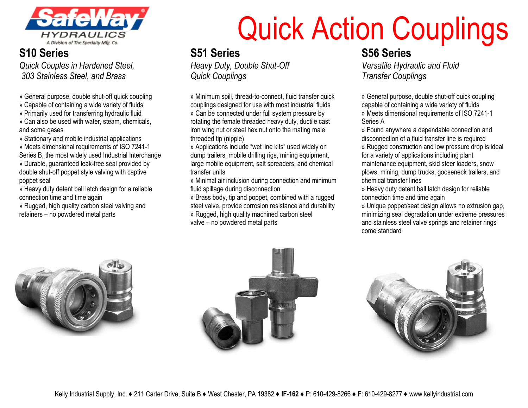

# **S10 Series**

*Quick Couples in Hardened Steel, 303 Stainless Steel, and Brass*

- » General purpose, double shut-off quick coupling
- » Capable of containing a wide variety of fluids
- » Primarily used for transferring hydraulic fluid
- » Can also be used with water, steam, chemicals, and some gases

» Stationary and mobile industrial applications

» Meets dimensional requirements of ISO 7241-1 Series B, the most widely used Industrial Interchange

» Durable, guaranteed leak-free seal provided by double shut-off poppet style valving with captive poppet seal

» Heavy duty detent ball latch design for a reliable connection time and time again

» Rugged, high quality carbon steel valving and retainers – no powdered metal parts

# Quick Action Couplings

### **S51 Series**

*Heavy Duty, Double Shut-Off Quick Couplings*

» Minimum spill, thread-to-connect, fluid transfer quick couplings designed for use with most industrial fluids » Can be connected under full system pressure by rotating the female threaded heavy duty, ductile cast iron wing nut or steel hex nut onto the mating male threaded tip (nipple)

» Applications include "wet line kits" used widely on dump trailers, mobile drilling rigs, mining equipment, large mobile equipment, salt spreaders, and chemical transfer units

» Minimal air inclusion during connection and minimum fluid spillage during disconnection

» Brass body, tip and poppet, combined with a rugged steel valve, provide corrosion resistance and durability » Rugged, high quality machined carbon steel

valve – no powdered metal parts

### **S56 Series**

*Versatile Hydraulic and Fluid Transfer Couplings*

» General purpose, double shut-off quick coupling capable of containing a wide variety of fluids » Meets dimensional requirements of ISO 7241-1

Series A

» Found anywhere a dependable connection and disconnection of a fluid transfer line is required

» Rugged construction and low pressure drop is ideal for a variety of applications including plant maintenance equipment, skid steer loaders, snow plows, mining, dump trucks, gooseneck trailers, and chemical transfer lines

» Heavy duty detent ball latch design for reliable connection time and time again

» Unique poppet/seat design allows no extrusion gap, minimizing seal degradation under extreme pressures and stainless steel valve springs and retainer rings come standard





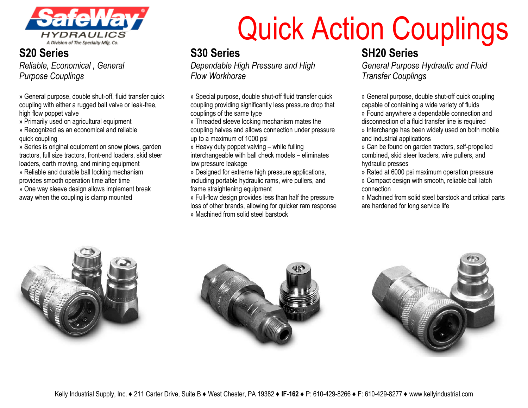

#### **S20 Series** *Reliable, Economical , General Purpose Couplings*

» General purpose, double shut-off, fluid transfer quick coupling with either a rugged ball valve or leak-free, high flow poppet valve

- » Primarily used on agricultural equipment
- » Recognized as an economical and reliable quick coupling

» Series is original equipment on snow plows, garden tractors, full size tractors, front-end loaders, skid steer loaders, earth moving, and mining equipment » Reliable and durable ball locking mechanism provides smooth operation time after time » One way sleeve design allows implement break

away when the coupling is clamp mounted

# Quick Action Couplings

# **S30 Series**

*Dependable High Pressure and High Flow Workhorse*

» Special purpose, double shut-off fluid transfer quick coupling providing significantly less pressure drop that couplings of the same type

» Threaded sleeve locking mechanism mates the coupling halves and allows connection under pressure up to a maximum of 1000 psi

» Heavy duty poppet valving – while fulling interchangeable with ball check models – eliminates low pressure leakage

» Designed for extreme high pressure applications, including portable hydraulic rams, wire pullers, and frame straightening equipment

» Full-flow design provides less than half the pressure loss of other brands, allowing for quicker ram response » Machined from solid steel barstock

### **SH20 Series**

*General Purpose Hydraulic and Fluid Transfer Couplings*

» General purpose, double shut-off quick coupling capable of containing a wide variety of fluids

» Found anywhere a dependable connection and disconnection of a fluid transfer line is required

» Interchange has been widely used on both mobile and industrial applications

» Can be found on garden tractors, self-propelled combined, skid steer loaders, wire pullers, and hydraulic presses

» Rated at 6000 psi maximum operation pressure

» Compact design with smooth, reliable ball latch connection

» Machined from solid steel barstock and critical parts are hardened for long service life





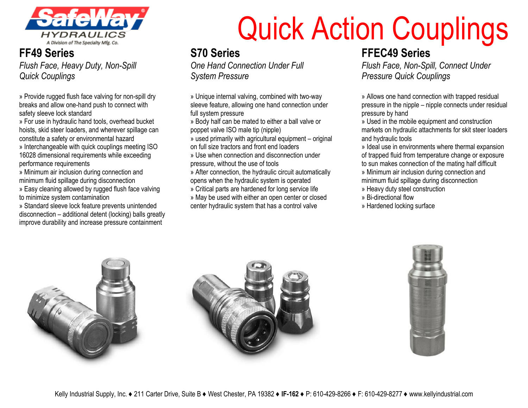

#### **FF49 Series** *Flush Face, Heavy Duty, Non-Spill Quick Couplings*

» Provide rugged flush face valving for non-spill dry breaks and allow one-hand push to connect with safety sleeve lock standard

» For use in hydraulic hand tools, overhead bucket hoists, skid steer loaders, and wherever spillage can constitute a safety or environmental hazard

» Interchangeable with quick couplings meeting ISO 16028 dimensional requirements while exceeding performance requirements

» Minimum air inclusion during connection and minimum fluid spillage during disconnection

» Easy cleaning allowed by rugged flush face valving to minimize system contamination

» Standard sleeve lock feature prevents unintended disconnection – additional detent (locking) balls greatly improve durability and increase pressure containment

# Quick Action Couplings

# **S70 Series**

*One Hand Connection Under Full System Pressure*

» Unique internal valving, combined with two-way sleeve feature, allowing one hand connection under full system pressure

» Body half can be mated to either a ball valve or poppet valve ISO male tip (nipple)

» used primarily with agricultural equipment – original on full size tractors and front end loaders

» Use when connection and disconnection under pressure, without the use of tools

» After connection, the hydraulic circuit automatically opens when the hydraulic system is operated

» Critical parts are hardened for long service life

» May be used with either an open center or closed center hydraulic system that has a control valve

**FFEC49 Series**

*Flush Face, Non-Spill, Connect Under Pressure Quick Couplings*

» Allows one hand connection with trapped residual pressure in the nipple – nipple connects under residual pressure by hand

» Used in the mobile equipment and construction markets on hydraulic attachments for skit steer loaders and hydraulic tools

» Ideal use in environments where thermal expansion of trapped fluid from temperature change or exposure to sun makes connection of the mating half difficult

» Minimum air inclusion during connection and minimum fluid spillage during disconnection

- » Heavy duty steel construction
- » Bi-directional flow
- » Hardened locking surface